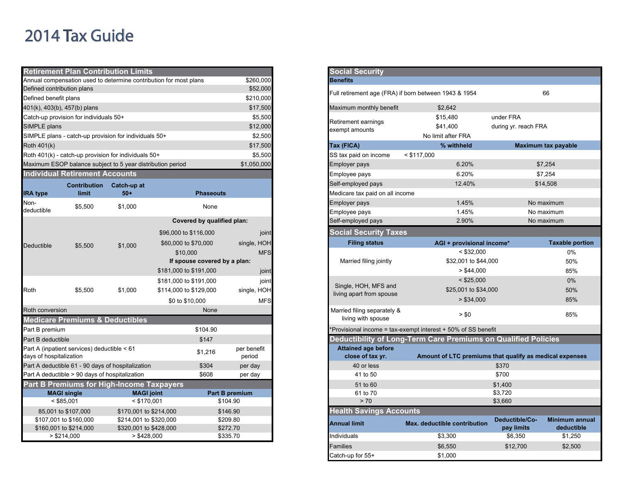## 2014 Tax Guide

|                                                            | <b>Retirement Plan Contribution Limits</b>                 |                                                  |                                                                   |                       | <b>Social Security</b>              |                                                                |                                                  |  |
|------------------------------------------------------------|------------------------------------------------------------|--------------------------------------------------|-------------------------------------------------------------------|-----------------------|-------------------------------------|----------------------------------------------------------------|--------------------------------------------------|--|
|                                                            |                                                            |                                                  | Annual compensation used to determine contribution for most plans | \$260,000<br>\$52,000 | <b>Benefits</b>                     |                                                                |                                                  |  |
| Defined contribution plans                                 |                                                            |                                                  |                                                                   |                       |                                     | Full retirement age (FRA) if born between 1943 & 1954          |                                                  |  |
| Defined benefit plans                                      |                                                            |                                                  |                                                                   | \$210,000<br>\$17,500 |                                     |                                                                |                                                  |  |
| 401(k), 403(b), 457(b) plans                               |                                                            |                                                  |                                                                   |                       | Maximum monthly benefit             | \$2,642                                                        |                                                  |  |
|                                                            | Catch-up provision for individuals 50+                     |                                                  |                                                                   | \$5,500               | Retirement earnings                 | \$15,480                                                       | under FRA                                        |  |
| SIMPLE plans                                               |                                                            |                                                  |                                                                   | \$12,000              | exempt amounts                      | \$41,400                                                       | during yr. reach FRA                             |  |
|                                                            | SIMPLE plans - catch-up provision for individuals 50+      |                                                  |                                                                   | \$2,500               |                                     | No limit after FRA                                             |                                                  |  |
| Roth 401(k)                                                |                                                            |                                                  |                                                                   | \$17,500              | Tax (FICA)                          | % withheld                                                     | Maximum tax p                                    |  |
|                                                            | Roth 401(k) - catch-up provision for individuals 50+       |                                                  |                                                                   | \$5,500               | SS tax paid on income               | $<$ \$117,000                                                  |                                                  |  |
|                                                            | Maximum ESOP balance subject to 5 year distribution period |                                                  |                                                                   | \$1,050,000           | Employer pays                       | 6.20%                                                          | \$7,254                                          |  |
|                                                            | <b>Individual Retirement Accounts</b>                      |                                                  |                                                                   |                       | Employee pays                       | 6.20%                                                          | \$7,254                                          |  |
|                                                            | <b>Contribution</b>                                        | Catch-up at                                      |                                                                   |                       | Self-employed pays                  | 12.40%                                                         | \$14,508                                         |  |
| <b>IRA type</b>                                            | limit                                                      | $50+$                                            | <b>Phaseouts</b>                                                  |                       | Medicare tax paid on all income     |                                                                |                                                  |  |
| Non-                                                       |                                                            |                                                  |                                                                   |                       | Employer pays                       | 1.45%                                                          | No maximu                                        |  |
| deductible                                                 | \$5,500                                                    | \$1,000                                          | None                                                              |                       | Employee pays                       | 1.45%                                                          | No maximu                                        |  |
|                                                            |                                                            |                                                  | Covered by qualified plan:                                        |                       | Self-employed pays                  | 2.90%                                                          | No maximu                                        |  |
|                                                            |                                                            | \$1,000                                          | \$96,000 to \$116,000                                             | joint                 | <b>Social Security Taxes</b>        |                                                                |                                                  |  |
| Deductible                                                 |                                                            |                                                  | \$60,000 to \$70,000                                              | single, HOH           | <b>Filing status</b>                | AGI + provisional income*                                      | Tax                                              |  |
|                                                            | \$5,500                                                    |                                                  | \$10,000                                                          | <b>MFS</b>            |                                     | $<$ \$32,000                                                   |                                                  |  |
|                                                            |                                                            |                                                  | If spouse covered by a plan:                                      |                       | Married filing jointly              | \$32,001 to \$44,000                                           |                                                  |  |
|                                                            |                                                            |                                                  | \$181,000 to \$191,000                                            | joint                 |                                     | > \$44,000                                                     |                                                  |  |
|                                                            |                                                            |                                                  | \$181,000 to \$191,000                                            | joint                 |                                     | $<$ \$25,000                                                   |                                                  |  |
| Roth                                                       | \$5,500                                                    | \$1,000                                          | \$114,000 to \$129,000                                            |                       | Single, HOH, MFS and<br>single, HOH | \$25,001 to \$34,000                                           |                                                  |  |
|                                                            |                                                            |                                                  | \$0 to \$10,000                                                   | <b>MFS</b>            | living apart from spouse            | > \$34,000                                                     |                                                  |  |
| Roth conversion                                            |                                                            |                                                  | None                                                              |                       | Married filing separately &         |                                                                |                                                  |  |
|                                                            | <b>Medicare Premiums &amp; Deductibles</b>                 |                                                  |                                                                   |                       | living with spouse                  | > \$0                                                          |                                                  |  |
| Part B premium                                             |                                                            |                                                  | \$104.90                                                          |                       |                                     | *Provisional income = tax-exempt interest + 50% of SS benefit  |                                                  |  |
| Part B deductible                                          |                                                            |                                                  | \$147                                                             |                       |                                     | Deductibility of Long-Term Care Premiums on Qualified Policies |                                                  |  |
|                                                            | Part A (inpatient services) deductible < 61                |                                                  | \$1,216                                                           | per benefit           | <b>Attained age before</b>          |                                                                |                                                  |  |
| days of hospitalization                                    |                                                            |                                                  |                                                                   | period                | close of tax yr.                    | Amount of LTC premiums that qualify as medical                 |                                                  |  |
| Part A deductible 61 - 90 days of hospitalization<br>\$304 |                                                            |                                                  | per day                                                           | 40 or less            |                                     | \$370                                                          |                                                  |  |
| Part A deductible > 90 days of hospitalization<br>\$608    |                                                            |                                                  | per day                                                           | 41 to 50              |                                     | \$700                                                          |                                                  |  |
|                                                            | <b>Part B Premiums for High-Income Taxpayers</b>           |                                                  |                                                                   |                       | 51 to 60                            |                                                                | \$1,400                                          |  |
|                                                            | <b>MAGI single</b>                                         | <b>MAGI</b> joint                                |                                                                   | Part B premium        | 61 to 70                            |                                                                | \$3,720                                          |  |
|                                                            | $<$ \$85,001                                               | $<$ \$170,001                                    |                                                                   | \$104.90              | > 70                                |                                                                | \$3,660                                          |  |
|                                                            | 85,001 to \$107,000                                        | \$170,001 to \$214,000                           |                                                                   | \$146.90              | <b>Health Savings Accounts</b>      |                                                                |                                                  |  |
|                                                            | \$107,001 to \$160,000<br>\$160,001 to \$214,000           | \$214,001 to \$320,000<br>\$320,001 to \$428,000 |                                                                   | \$209.80<br>\$272.70  | <b>Annual limit</b>                 | Max. deductible contribution                                   | Deductible/Co-<br><b>Mini</b><br>pay limits<br>d |  |
|                                                            | > \$214,000                                                | > \$428,000                                      |                                                                   | \$335.70              | Individuals                         | \$3.300                                                        | \$6,350                                          |  |
|                                                            |                                                            |                                                  |                                                                   |                       |                                     |                                                                |                                                  |  |

| <b>Social Security</b>                                |                                                                |                       |                            |
|-------------------------------------------------------|----------------------------------------------------------------|-----------------------|----------------------------|
| <b>Benefits</b>                                       |                                                                |                       |                            |
| Full retirement age (FRA) if born between 1943 & 1954 |                                                                |                       | 66                         |
| Maximum monthly benefit                               | \$2,642                                                        |                       |                            |
|                                                       | \$15,480                                                       | under FRA             |                            |
| Retirement earnings<br>exempt amounts                 | \$41,400                                                       | during yr. reach FRA  |                            |
|                                                       | No limit after FRA                                             |                       |                            |
| Tax (FICA)                                            | % withheld                                                     |                       | <b>Maximum tax payable</b> |
| SS tax paid on income                                 | $<$ \$117,000                                                  |                       |                            |
| Employer pays                                         | 6.20%                                                          |                       | \$7,254                    |
| Employee pays                                         | 6.20%                                                          |                       | \$7,254                    |
| Self-employed pays                                    | 12.40%                                                         |                       | \$14,508                   |
| Medicare tax paid on all income                       |                                                                |                       |                            |
| Employer pays                                         | 1.45%                                                          |                       | No maximum                 |
| Employee pays                                         | 1.45%                                                          |                       | No maximum                 |
| Self-employed pays                                    | 2.90%                                                          |                       | No maximum                 |
| <b>Social Security Taxes</b>                          |                                                                |                       |                            |
| <b>Filing status</b>                                  | AGI + provisional income*                                      |                       | <b>Taxable portion</b>     |
|                                                       | $<$ \$32,000                                                   |                       | 0%                         |
| Married filing jointly                                | \$32,001 to \$44,000                                           |                       | 50%                        |
|                                                       | > \$44,000                                                     |                       | 85%                        |
|                                                       | $<$ \$25,000                                                   |                       | 0%                         |
| Single, HOH, MFS and<br>living apart from spouse      | \$25,001 to \$34,000                                           |                       | 50%                        |
|                                                       | > \$34,000                                                     |                       | 85%                        |
| Married filing separately &<br>living with spouse     | > \$0                                                          |                       | 85%                        |
|                                                       | Provisional income = tax-exempt interest + 50% of SS benefit   |                       |                            |
|                                                       | Deductibility of Long-Term Care Premiums on Qualified Policies |                       |                            |
| <b>Attained age before</b>                            |                                                                |                       |                            |
| close of tax yr.                                      | Amount of LTC premiums that qualify as medical expenses        |                       |                            |
| 40 or less<br>41 to 50                                |                                                                | \$370<br>\$700        |                            |
|                                                       |                                                                |                       |                            |
|                                                       |                                                                |                       |                            |
| 51 to 60                                              |                                                                | \$1,400               |                            |
| 61 to 70<br>> 70                                      |                                                                | \$3,720               |                            |
|                                                       |                                                                | \$3,660               |                            |
| <b>Health Savings Accounts</b><br><b>Annual limit</b> | Max. deductible contribution                                   | Deductible/Co-        | <b>Minimum annual</b>      |
| Individuals                                           | \$3,300                                                        | pay limits<br>\$6,350 | deductible<br>\$1,250      |
| Families                                              | \$6,550                                                        | \$12,700              | \$2,500                    |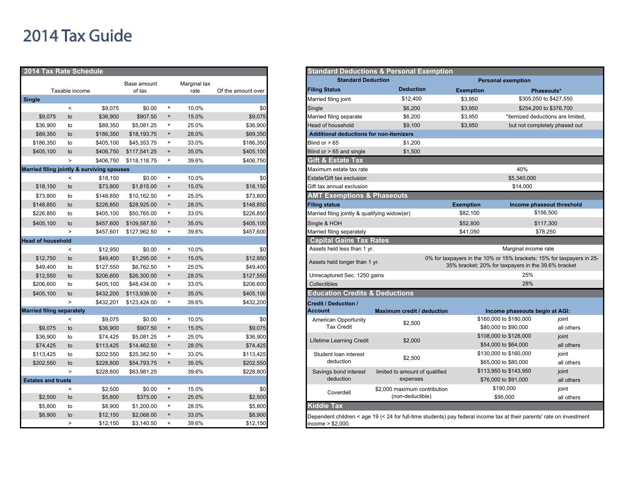## 2014 Tax Guide

| 2014 Tax Rate Schedule                     |                          |                    |                    |                                  |                |                    | <b>Standard Deductions &amp; Personal Exemption</b>                                           |    |
|--------------------------------------------|--------------------------|--------------------|--------------------|----------------------------------|----------------|--------------------|-----------------------------------------------------------------------------------------------|----|
|                                            |                          |                    | Base amount        |                                  | Marginal tax   |                    | <b>Standard Deduction</b>                                                                     |    |
|                                            | Taxable income           |                    | of tax             |                                  | rate           | Of the amount over | <b>Deduction</b><br><b>Filing Status</b><br><b>Exemptio</b>                                   |    |
| <b>Single</b>                              |                          |                    |                    |                                  |                |                    | \$12,400<br>Married filing joint<br>\$3,950                                                   |    |
|                                            | $\prec$                  | \$9,075            | \$0.00             | $\ddot{}$                        | 10.0%          | \$0                | Single<br>\$6.200<br>\$3,950                                                                  |    |
| \$9,075                                    | to                       | \$36,900           | \$907.50           | $\ddot{}$                        | 15.0%          | \$9,075            | Married filing separate<br>\$6,200<br>\$3,950                                                 |    |
| \$36,900                                   | to                       | \$89,350           | \$5,081.25         | $\ddot{}$                        | 25.0%          | \$36,900           | Head of household<br>\$9,100<br>\$3,950                                                       |    |
| \$89,350                                   | to                       | \$186,350          | \$18,193.75        | $\pmb{+}$                        | 28.0%          | \$89,350           | <b>Additional deductions for non-itemizers</b>                                                |    |
| \$186,350                                  | to                       | \$405,100          | \$45,353.75        | $\ddot{}$                        | 33.0%          | \$186,350          | Blind or $> 65$<br>\$1,200                                                                    |    |
| \$405,100                                  | to                       | \$406,750          | \$117,541.25       | $\begin{array}{c} + \end{array}$ | 35.0%          | \$405,100          | Blind or $> 65$ and single<br>\$1,500                                                         |    |
|                                            | $\geq$                   | \$406,750          | \$118,118.75       | $\ddot{}$                        | 39.6%          | \$406,750          | Gift & Estate Tax                                                                             |    |
| Married filing jointly & surviving spouses |                          |                    |                    |                                  |                |                    | Maximum estate tax rate                                                                       |    |
|                                            | $\,<$                    | \$18,150           | \$0.00             | $\ddot{}$                        | 10.0%          | \$0                | Estate/Gift tax exclusion                                                                     |    |
| \$18,150                                   | to                       | \$73,800           | \$1,815.00         | $\begin{array}{c} + \end{array}$ | 15.0%          | \$18,150           | Gift tax annual exclusion                                                                     |    |
| \$73,800                                   | to                       | \$148,850          | \$10,162.50        | $\ddot{}$                        | 25.0%          | \$73,800           | <b>AMT Exemptions &amp; Phaseouts</b>                                                         |    |
| \$148,850                                  | to                       | \$226,850          | \$28,925.00        | $\begin{array}{c} + \end{array}$ | 28.0%          | \$148,850          | <b>Exemption</b><br><b>Filing status</b>                                                      |    |
| \$226,850                                  | to                       | \$405,100          | \$50,765.00        | $\ddot{}$                        | 33.0%          | \$226,850          | \$82,100<br>Married filing jointly & qualifying widow(er)                                     |    |
| \$405,100                                  | to                       | \$457,600          | \$109,587.50       | $\begin{array}{c} + \end{array}$ | 35.0%          | \$405,100          | \$52,800<br>Single & HOH                                                                      |    |
|                                            | $\geq$                   | \$457,601          | \$127,962.50       | $\ddot{}$                        | 39.6%          | \$457,600          | \$41,050<br>Married filing separately                                                         |    |
| <b>Head of household</b>                   |                          |                    |                    |                                  |                |                    | <b>Capital Gains Tax Rates</b>                                                                |    |
|                                            | $\overline{\phantom{a}}$ | \$12,950           | \$0.00             | $\ddot{}$                        | 10.0%          | \$0                | Assets held less than 1 yr.                                                                   |    |
| \$12,750                                   | to                       | \$49,400           | \$1,295.00         | $\begin{array}{c} + \end{array}$ | 15.0%          | \$12,950           | 0% for taxpayers in the                                                                       |    |
| \$49,400                                   | to                       | \$127,550          | \$6,762.50         | $\begin{array}{c} + \end{array}$ | 25.0%          | \$49,400           | Assets held longer than 1 yr.<br>35% bracket;                                                 |    |
| \$12,550                                   | to                       | \$206,600          | \$26,300.00        | $\begin{array}{c} + \end{array}$ | 28.0%          | \$127,550          | Unrecaptured Sec. 1250 gains                                                                  |    |
| \$206,600                                  | to                       | \$405,100          | \$48,434.00        | $\ddot{}$                        | 33.0%          | \$206,600          | Collectibles                                                                                  |    |
| \$405,100                                  | to                       | \$432.200          | \$113,939.00       | $\begin{array}{c} + \end{array}$ | 35.0%          | \$405,100          | <b>Education Credits &amp; Deductions</b>                                                     |    |
|                                            | $\geq$                   | \$432,201          | \$123,424.00       | $\begin{array}{c} + \end{array}$ | 39.6%          | \$432,200          | <b>Credit / Deduction /</b>                                                                   |    |
| <b>Married filing separately</b>           |                          |                    |                    |                                  |                |                    | Maximum credit / deduction<br><b>Account</b>                                                  |    |
|                                            | $\prec$                  | \$9,075            | \$0.00             | $\ddot{}$                        | 10.0%          | \$0                | American Opportunity<br>\$2,500                                                               | S  |
| \$9,075                                    | to                       | \$36,900           | \$907.50           | $\begin{array}{c} + \end{array}$ | 15.0%          | \$9,075            | <b>Tax Credit</b>                                                                             |    |
| \$36,900                                   | to                       | \$74,425           | \$5.081.25         | $\ddot{}$                        | 25.0%          | \$36,900           |                                                                                               | S  |
| \$74,425                                   | to                       | \$113,425          | \$14,462.50        | $\ddot{}$                        | 28.0%          | \$74,425           | Lifetime Learning Credit<br>\$2,000                                                           |    |
| \$113,425                                  | to                       | \$202,550          | \$25,382.50        | $\ddot{}$                        | 33.0%          | \$113,425          | Student Ioan interest<br>\$2,500                                                              | S  |
| \$202,550                                  | to                       | \$228,800          | \$54,793.75        | $\pmb{+}$                        | 35.0%          | \$202,550          | deduction                                                                                     |    |
|                                            | $\geq$                   | \$228,800          | \$63,981.25        |                                  | 39.6%          | \$228,800          | Savings bond interest<br>limited to amount of qualified<br>deduction<br>expenses              | \$ |
| <b>Estates and trusts</b>                  |                          |                    |                    |                                  |                |                    |                                                                                               |    |
| \$2,500                                    | $\,<$<br>to              | \$2,500<br>\$5,800 | \$0.00<br>\$375.00 | $\ddot{}$<br>$\ddot{}$           | 15.0%<br>25.0% | \$0<br>\$2,500     | \$2,000 maximum contribution<br>Coverdell<br>(non-deductible)                                 |    |
| \$5,800                                    | to                       | \$8,900            | \$1,200.00         | $\ddot{}$                        | 28.0%          | \$5,800            | <b>Kiddie Tax</b>                                                                             |    |
| \$8,900                                    | to                       | \$12,150           | \$2,068.00         | $\ddot{}$                        | 33.0%          | \$8,900            |                                                                                               |    |
|                                            | $\geq$                   | \$12,150           | \$3,140.50         | $\ddot{}$                        | 39.6%          | \$12,150           | Dependent children < age 19 (< 24 for full-time students) pay federal in<br>income > \$2,000. |    |
|                                            |                          |                    |                    |                                  |                |                    |                                                                                               |    |

| 2014 Tax Rate Schedule    |                          |                                            |              |              |                    |                      |                                                        | <b>Standard Deductions &amp; Personal Exemption</b>                                                                   |                  |                                                     |                                                                       |
|---------------------------|--------------------------|--------------------------------------------|--------------|--------------|--------------------|----------------------|--------------------------------------------------------|-----------------------------------------------------------------------------------------------------------------------|------------------|-----------------------------------------------------|-----------------------------------------------------------------------|
|                           |                          |                                            | Base amount  | Marginal tax |                    |                      | <b>Standard Deduction</b><br><b>Personal exemption</b> |                                                                                                                       |                  |                                                     |                                                                       |
| Taxable income            |                          | of tax                                     |              | rate         | Of the amount over | <b>Filing Status</b> | <b>Deduction</b>                                       | <b>Exemption</b>                                                                                                      | Phaseouts*       |                                                     |                                                                       |
| Single                    |                          |                                            |              |              |                    |                      | Married filing joint                                   | \$12,400                                                                                                              | \$3,950          | \$305,050 to \$427,550                              |                                                                       |
|                           | $\,<$                    | \$9,075                                    | \$0.00       | $+$          | 10.0%              | \$0                  | Single                                                 | \$6.200                                                                                                               | \$3,950          | \$254,200 to \$376,700                              |                                                                       |
| \$9,075                   | to                       | \$36,900                                   | \$907.50     | $+$          | 15.0%              | \$9,075              | Married filing separate                                | \$6,200                                                                                                               | \$3,950          | *itemized deductions are limited.                   |                                                                       |
| \$36,900                  | to                       | \$89,350                                   | \$5,081.25   | $+$          | 25.0%              | \$36,900             | Head of household                                      | \$9,100                                                                                                               |                  | \$3,950<br>but not completely phased out            |                                                                       |
| \$89,350                  | to                       | \$186,350                                  | \$18,193.75  | $+$          | 28.0%              | \$89,350             | <b>Additional deductions for non-itemizers</b>         |                                                                                                                       |                  |                                                     |                                                                       |
| \$186,350                 | to                       | \$405,100                                  | \$45,353.75  | $+$          | 33.0%              | \$186,350            | Blind or $> 65$                                        | \$1,200                                                                                                               |                  |                                                     |                                                                       |
| \$405,100                 | to                       | \$406,750                                  | \$117,541.25 | $+$          | 35.0%              | \$405,100            | Blind or > 65 and single                               | \$1.500                                                                                                               |                  |                                                     |                                                                       |
|                           | $\geq$                   | \$406,750                                  | \$118,118.75 | $+$          | 39.6%              | \$406,750            | <b>Gift &amp; Estate Tax</b>                           |                                                                                                                       |                  |                                                     |                                                                       |
|                           |                          | Married filing jointly & surviving spouses |              |              |                    |                      | Maximum estate tax rate                                |                                                                                                                       |                  | 40%                                                 |                                                                       |
|                           | $\overline{\phantom{a}}$ | \$18,150                                   | \$0.00       | $+$          | 10.0%              | \$0                  | Estate/Gift tax exclusion                              |                                                                                                                       |                  | \$5,340,000                                         |                                                                       |
| \$18,150                  | to                       | \$73,800                                   | \$1,815.00   | $+$          | 15.0%              | \$18,150             | Gift tax annual exclusion                              |                                                                                                                       |                  | \$14,000                                            |                                                                       |
| \$73,800                  | to                       | \$148,850                                  | \$10,162.50  | $+$          | 25.0%              | \$73,800             | <b>AMT Exemptions &amp; Phaseouts</b>                  |                                                                                                                       |                  |                                                     |                                                                       |
| \$148,850                 | to                       | \$226,850                                  | \$28,925.00  | $+$          | 28.0%              | \$148,850            | <b>Filing status</b>                                   |                                                                                                                       | <b>Exemption</b> | Income phaseout threshold                           |                                                                       |
| \$226,850                 | to                       | \$405,100                                  | \$50,765.00  | $+$          | 33.0%              | \$226,850            |                                                        | Married filing jointly & qualifying widow(er)                                                                         |                  | \$156,500                                           |                                                                       |
| \$405,100                 | to                       | \$457,600                                  | \$109,587.50 | $+$          | 35.0%              | \$405,100            | Single & HOH                                           |                                                                                                                       |                  | \$117,300                                           |                                                                       |
|                           | $\, >$                   | \$457,601                                  | \$127,962.50 | $+$          | 39.6%              | \$457,600            | Married filing separately                              |                                                                                                                       |                  | \$41,050<br>\$78,250                                |                                                                       |
| lead of household         |                          |                                            |              |              |                    |                      | <b>Capital Gains Tax Rates</b>                         |                                                                                                                       |                  |                                                     |                                                                       |
|                           | $\,<\,$                  | \$12,950                                   | \$0.00       | $+$          | 10.0%              | \$0                  | Assets held less than 1 yr.                            |                                                                                                                       |                  | Marginal income rate                                |                                                                       |
| \$12,750                  | to                       | \$49,400                                   | \$1,295.00   | $+$          | 15.0%              | \$12,950             | Assets held longer than 1 yr.                          |                                                                                                                       |                  |                                                     | 0% for taxpayers in the 10% or 15% brackets; 15% for taxpayers in 25- |
| \$49,400                  | to                       | \$127,550                                  | \$6,762.50   | $+$          | 25.0%              | \$49,400             |                                                        |                                                                                                                       |                  | 35% bracket; 20% for taxpayers in the 39.6% bracket |                                                                       |
| \$12,550                  | to                       | \$206,600                                  | \$26,300.00  | $+$          | 28.0%              | \$127,550            | Unrecaptured Sec. 1250 gains                           |                                                                                                                       |                  | 25%                                                 |                                                                       |
| \$206,600                 | to                       | \$405,100                                  | \$48,434.00  | $+$          | 33.0%              | \$206,600            | Collectibles                                           |                                                                                                                       | 28%              |                                                     |                                                                       |
| \$405,100                 | to                       | \$432,200                                  | \$113,939.00 | $+$          | 35.0%              | \$405,100            | <b>Education Credits &amp; Deductions</b>              |                                                                                                                       |                  |                                                     |                                                                       |
|                           | $\geq$                   | \$432,201                                  | \$123,424.00 | $+$          | 39.6%              | \$432,200            | <b>Credit / Deduction /</b>                            |                                                                                                                       |                  |                                                     |                                                                       |
| Married filing separately |                          |                                            |              |              |                    |                      | <b>Account</b>                                         | Maximum credit / deduction                                                                                            |                  | Income phaseouts begin at AGI:                      |                                                                       |
|                           | $\prec$                  | \$9,075                                    | \$0.00       | $+$          | 10.0%              | \$0                  | American Opportunity                                   | \$2,500                                                                                                               |                  | \$160,000 to \$180,000                              | joint                                                                 |
| \$9,075                   | to                       | \$36,900                                   | \$907.50     | $+$          | 15.0%              | \$9,075              | <b>Tax Credit</b>                                      |                                                                                                                       |                  | \$80,000 to \$90,000                                | all others                                                            |
| \$36,900                  | to                       | \$74,425                                   | \$5,081.25   | $+$          | 25.0%              | \$36,900             | Lifetime Learning Credit                               | \$2,000                                                                                                               |                  | \$108,000 to \$128,000                              | joint                                                                 |
| \$74,425                  | to                       | \$113,425                                  | \$14,462.50  | $+$          | 28.0%              | \$74,425             |                                                        |                                                                                                                       |                  | \$54,000 to \$64,000                                | all others                                                            |
| \$113,425                 | to                       | \$202,550                                  | \$25,382.50  | $+$          | 33.0%              | \$113,425            | Student loan interest                                  | \$2,500                                                                                                               |                  | \$130,000 to \$160,000                              | joint                                                                 |
| \$202,550                 | to                       | \$228,800                                  | \$54,793.75  | $+$          | 35.0%              | \$202,550            | deduction                                              |                                                                                                                       |                  | \$65,000 to \$80,000                                | all others                                                            |
|                           | $\, >$                   | \$228,800                                  | \$63,981.25  |              | 39.6%              | \$228,800            | Savings bond interest<br>deduction                     | limited to amount of qualified                                                                                        |                  | \$113,950 to \$143,950                              | joint                                                                 |
| <b>Estates and trusts</b> |                          |                                            |              |              |                    |                      |                                                        | expenses                                                                                                              |                  | \$76,000 to \$91,000                                | all others                                                            |
|                           | $\hat{}$                 | \$2,500                                    | \$0.00       | $+$          | 15.0%              | \$0                  | Coverdell                                              | \$2,000 maximum contribution<br>(non-deductible)                                                                      |                  | \$190,000                                           | joint                                                                 |
| \$2,500                   | to                       | \$5,800                                    | \$375.00     | $+$          | 25.0%              | \$2,500              |                                                        |                                                                                                                       |                  | \$95,000                                            | all others                                                            |
| \$5,800                   | to                       | \$8,900                                    | \$1,200.00   | $+$          | 28.0%              | \$5,800              | <b>Kiddie Tax</b>                                      |                                                                                                                       |                  |                                                     |                                                                       |
| \$8,900                   | to                       | \$12,150                                   | \$2,068.00   | $+$          | 33.0%              | \$8,900              |                                                        | Dependent children < age 19 (< 24 for full-time students) pay federal income tax at their parents' rate on investment |                  |                                                     |                                                                       |
|                           | $\geq$                   | \$12.150                                   | \$3,140.50   | $+$          | 39.6%              | \$12,150             | income > \$2,000.                                      |                                                                                                                       |                  |                                                     |                                                                       |